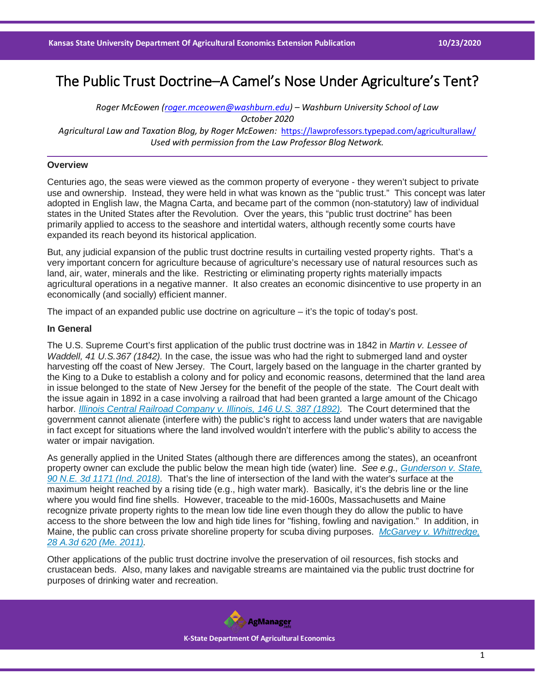# The Public Trust Doctrine–A Camel's Nose Under Agriculture's Tent?

*Roger McEowen [\(roger.mceowen@washburn.edu\)](mailto:roger.mceowen@washburn.edu) – Washburn University School of Law October 2020 Agricultural Law and Taxation Blog, by Roger McEowen:* <https://lawprofessors.typepad.com/agriculturallaw/> *Used with permission from the Law Professor Blog Network.* 

# **Overview**

Centuries ago, the seas were viewed as the common property of everyone - they weren't subject to private use and ownership. Instead, they were held in what was known as the "public trust." This concept was later adopted in English law, the Magna Carta, and became part of the common (non-statutory) law of individual states in the United States after the Revolution. Over the years, this "public trust doctrine" has been primarily applied to access to the seashore and intertidal waters, although recently some courts have expanded its reach beyond its historical application.

But, any judicial expansion of the public trust doctrine results in curtailing vested property rights. That's a very important concern for agriculture because of agriculture's necessary use of natural resources such as land, air, water, minerals and the like. Restricting or eliminating property rights materially impacts agricultural operations in a negative manner. It also creates an economic disincentive to use property in an economically (and socially) efficient manner.

The impact of an expanded public use doctrine on agriculture – it's the topic of today's post.

#### **In General**

The U.S. Supreme Court's first application of the public trust doctrine was in 1842 in *Martin v. Lessee of Waddell, 41 U.S.367 (1842).* In the case, the issue was who had the right to submerged land and oyster harvesting off the coast of New Jersey. The Court, largely based on the language in the charter granted by the King to a Duke to establish a colony and for policy and economic reasons, determined that the land area in issue belonged to the state of New Jersey for the benefit of the people of the state. The Court dealt with the issue again in 1892 in a case involving a railroad that had been granted a large amount of the Chicago harbor*. [Illinois Central Railroad Company v. Illinois, 146 U.S. 387 \(1892\).](https://casetext.com/case/illinois-cent-co-v-state-of-illinois-city-of-chicago-v-illinois-cent-co-state-of-illinois-v-illinois-cent?ref=ArRBZs!7_rfBW)* The Court determined that the government cannot alienate (interfere with) the public's right to access land under waters that are navigable in fact except for situations where the land involved wouldn't interfere with the public's ability to access the water or impair navigation.

As generally applied in the United States (although there are differences among the states), an oceanfront property owner can exclude the public below the mean high tide (water) line. *See e.g., [Gunderson v. State,](https://casetext.com/case/gunderson-v-state-13?ref=ArRBZs!1TEJSK)  [90 N.E. 3d 1171 \(Ind. 2018\).](https://casetext.com/case/gunderson-v-state-13?ref=ArRBZs!1TEJSK)* That's the line of intersection of the land with the water's surface at the maximum height reached by a rising tide (e.g., high water mark). Basically, it's the debris line or the line where you would find fine shells. However, traceable to the mid-1600s, Massachusetts and Maine recognize private property rights to the mean low tide line even though they do allow the public to have access to the shore between the low and high tide lines for "fishing, fowling and navigation." In addition, in Maine, the public can cross private shoreline property for scuba diving purposes. *[McGarvey v. Whittredge,](https://casetext.com/case/william-a-mcgarvey-jr-v-whittredge?ref=ArRBZs!m18snp)  [28 A.3d 620 \(Me. 2011\).](https://casetext.com/case/william-a-mcgarvey-jr-v-whittredge?ref=ArRBZs!m18snp)*

Other applications of the public trust doctrine involve the preservation of oil resources, fish stocks and crustacean beds. Also, many lakes and navigable streams are maintained via the public trust doctrine for purposes of drinking water and recreation.

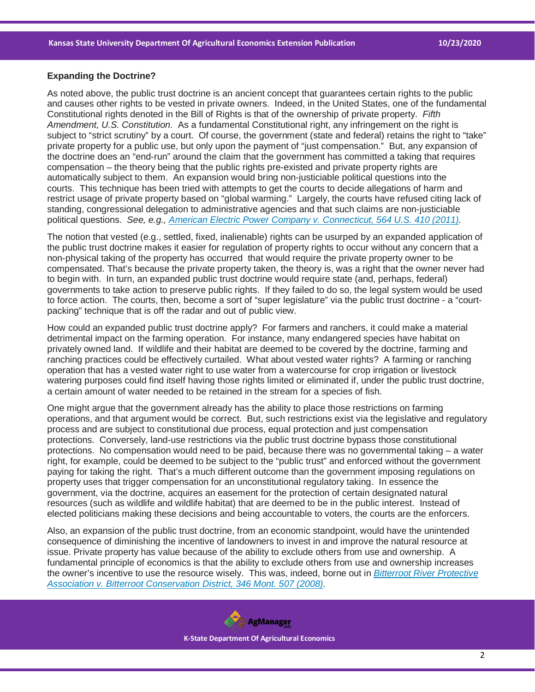## **Expanding the Doctrine?**

As noted above, the public trust doctrine is an ancient concept that guarantees certain rights to the public and causes other rights to be vested in private owners. Indeed, in the United States, one of the fundamental Constitutional rights denoted in the Bill of Rights is that of the ownership of private property. *Fifth Amendment, U.S. Constitution.* As a fundamental Constitutional right, any infringement on the right is subject to "strict scrutiny" by a court. Of course, the government (state and federal) retains the right to "take" private property for a public use, but only upon the payment of "just compensation." But, any expansion of the doctrine does an "end-run" around the claim that the government has committed a taking that requires compensation – the theory being that the public rights pre-existed and private property rights are automatically subject to them. An expansion would bring non-justiciable political questions into the courts. This technique has been tried with attempts to get the courts to decide allegations of harm and restrict usage of private property based on "global warming." Largely, the courts have refused citing lack of standing, congressional delegation to administrative agencies and that such claims are non-justiciable political questions. *See, e.g., [American Electric Power Company v. Connecticut, 564 U.S. 410 \(2011\).](https://casetext.com/case/am-electric-power-co-inc-v-conn?ref=ArRBZs!bprEOm)*

The notion that vested (e.g., settled, fixed, inalienable) rights can be usurped by an expanded application of the public trust doctrine makes it easier for regulation of property rights to occur without any concern that a non-physical taking of the property has occurred that would require the private property owner to be compensated. That's because the private property taken, the theory is, was a right that the owner never had to begin with. In turn, an expanded public trust doctrine would require state (and, perhaps, federal) governments to take action to preserve public rights. If they failed to do so, the legal system would be used to force action. The courts, then, become a sort of "super legislature" via the public trust doctrine - a "courtpacking" technique that is off the radar and out of public view.

How could an expanded public trust doctrine apply? For farmers and ranchers, it could make a material detrimental impact on the farming operation. For instance, many endangered species have habitat on privately owned land. If wildlife and their habitat are deemed to be covered by the doctrine, farming and ranching practices could be effectively curtailed. What about vested water rights? A farming or ranching operation that has a vested water right to use water from a watercourse for crop irrigation or livestock watering purposes could find itself having those rights limited or eliminated if, under the public trust doctrine, a certain amount of water needed to be retained in the stream for a species of fish.

One might argue that the government already has the ability to place those restrictions on farming operations, and that argument would be correct. But, such restrictions exist via the legislative and regulatory process and are subject to constitutional due process, equal protection and just compensation protections. Conversely, land-use restrictions via the public trust doctrine bypass those constitutional protections. No compensation would need to be paid, because there was no governmental taking – a water right, for example, could be deemed to be subject to the "public trust" and enforced without the government paying for taking the right. That's a much different outcome than the government imposing regulations on property uses that trigger compensation for an unconstitutional regulatory taking. In essence the government, via the doctrine, acquires an easement for the protection of certain designated natural resources (such as wildlife and wildlife habitat) that are deemed to be in the public interest. Instead of elected politicians making these decisions and being accountable to voters, the courts are the enforcers.

Also, an expansion of the public trust doctrine, from an economic standpoint, would have the unintended consequence of diminishing the incentive of landowners to invest in and improve the natural resource at issue. Private property has value because of the ability to exclude others from use and ownership. A fundamental principle of economics is that the ability to exclude others from use and ownership increases the owner's incentive to use the resource wisely. This was, indeed, borne out in *[Bitterroot River Protective](https://casetext.com/case/bitterroot-v-bitterroot?ref=ArRBZs!1w5iR4)  [Association v. Bitterroot Conservation District, 346 Mont. 507 \(2008\).](https://casetext.com/case/bitterroot-v-bitterroot?ref=ArRBZs!1w5iR4)*

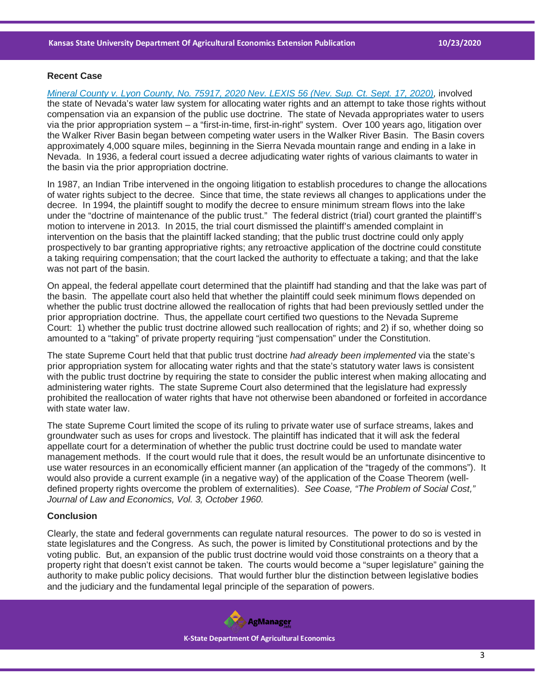## **Recent Case**

*[Mineral County v. Lyon County, No. 75917, 2020 Nev. LEXIS 56 \(Nev. Sup. Ct. Sept. 17, 2020\),](https://casetext.com/case/mineral-cnty-v-lyon-cnty?ref=ArRBZs!SVlBzy)* involved the state of Nevada's water law system for allocating water rights and an attempt to take those rights without compensation via an expansion of the public use doctrine. The state of Nevada appropriates water to users via the prior appropriation system – a "first-in-time, first-in-right" system. Over 100 years ago, litigation over the Walker River Basin began between competing water users in the Walker River Basin. The Basin covers approximately 4,000 square miles, beginning in the Sierra Nevada mountain range and ending in a lake in Nevada. In 1936, a federal court issued a decree adjudicating water rights of various claimants to water in the basin via the prior appropriation doctrine.

In 1987, an Indian Tribe intervened in the ongoing litigation to establish procedures to change the allocations of water rights subject to the decree. Since that time, the state reviews all changes to applications under the decree. In 1994, the plaintiff sought to modify the decree to ensure minimum stream flows into the lake under the "doctrine of maintenance of the public trust." The federal district (trial) court granted the plaintiff's motion to intervene in 2013. In 2015, the trial court dismissed the plaintiff's amended complaint in intervention on the basis that the plaintiff lacked standing; that the public trust doctrine could only apply prospectively to bar granting appropriative rights; any retroactive application of the doctrine could constitute a taking requiring compensation; that the court lacked the authority to effectuate a taking; and that the lake was not part of the basin.

On appeal, the federal appellate court determined that the plaintiff had standing and that the lake was part of the basin. The appellate court also held that whether the plaintiff could seek minimum flows depended on whether the public trust doctrine allowed the reallocation of rights that had been previously settled under the prior appropriation doctrine. Thus, the appellate court certified two questions to the Nevada Supreme Court: 1) whether the public trust doctrine allowed such reallocation of rights; and 2) if so, whether doing so amounted to a "taking" of private property requiring "just compensation" under the Constitution.

The state Supreme Court held that that public trust doctrine *had already been implemented* via the state's prior appropriation system for allocating water rights and that the state's statutory water laws is consistent with the public trust doctrine by requiring the state to consider the public interest when making allocating and administering water rights. The state Supreme Court also determined that the legislature had expressly prohibited the reallocation of water rights that have not otherwise been abandoned or forfeited in accordance with state water law.

The state Supreme Court limited the scope of its ruling to private water use of surface streams, lakes and groundwater such as uses for crops and livestock. The plaintiff has indicated that it will ask the federal appellate court for a determination of whether the public trust doctrine could be used to mandate water management methods. If the court would rule that it does, the result would be an unfortunate disincentive to use water resources in an economically efficient manner (an application of the "tragedy of the commons"). It would also provide a current example (in a negative way) of the application of the Coase Theorem (welldefined property rights overcome the problem of externalities). *See Coase, "The Problem of Social Cost," Journal of Law and Economics, Vol. 3, October 1960.*

## **Conclusion**

Clearly, the state and federal governments can regulate natural resources. The power to do so is vested in state legislatures and the Congress. As such, the power is limited by Constitutional protections and by the voting public. But, an expansion of the public trust doctrine would void those constraints on a theory that a property right that doesn't exist cannot be taken. The courts would become a "super legislature" gaining the authority to make public policy decisions. That would further blur the distinction between legislative bodies and the judiciary and the fundamental legal principle of the separation of powers.